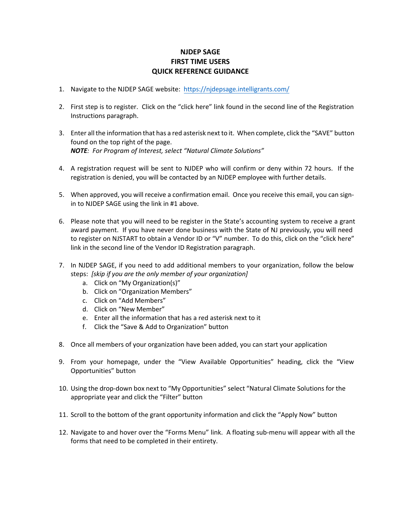## **NJDEP SAGE FIRST TIME USERS QUICK REFERENCE GUIDANCE**

- 1. Navigate to the NJDEP SAGE website: <https://njdepsage.intelligrants.com/>
- 2. First step is to register. Click on the "click here" link found in the second line of the Registration Instructions paragraph.
- 3. Enter allthe information that has a red asterisk next to it. When complete, click the "SAVE" button found on the top right of the page. *NOTE: For Program of Interest, select "Natural Climate Solutions"*
- 4. A registration request will be sent to NJDEP who will confirm or deny within 72 hours. If the registration is denied, you will be contacted by an NJDEP employee with further details.
- 5. When approved, you will receive a confirmation email. Once you receive this email, you can signin to NJDEP SAGE using the link in #1 above.
- 6. Please note that you will need to be register in the State's accounting system to receive a grant award payment. If you have never done business with the State of NJ previously, you will need to register on NJSTART to obtain a Vendor ID or "V" number. To do this, click on the "click here" link in the second line of the Vendor ID Registration paragraph.
- 7. In NJDEP SAGE, if you need to add additional members to your organization, follow the below steps: *[skip if you are the only member of your organization]*
	- a. Click on "My Organization(s)"
	- b. Click on "Organization Members"
	- c. Click on "Add Members"
	- d. Click on "New Member"
	- e. Enter all the information that has a red asterisk next to it
	- f. Click the "Save & Add to Organization" button
- 8. Once all members of your organization have been added, you can start your application
- 9. From your homepage, under the "View Available Opportunities" heading, click the "View Opportunities" button
- 10. Using the drop-down box next to "My Opportunities" select "Natural Climate Solutions for the appropriate year and click the "Filter" button
- 11. Scroll to the bottom of the grant opportunity information and click the "Apply Now" button
- 12. Navigate to and hover over the "Forms Menu" link. A floating sub-menu will appear with all the forms that need to be completed in their entirety.